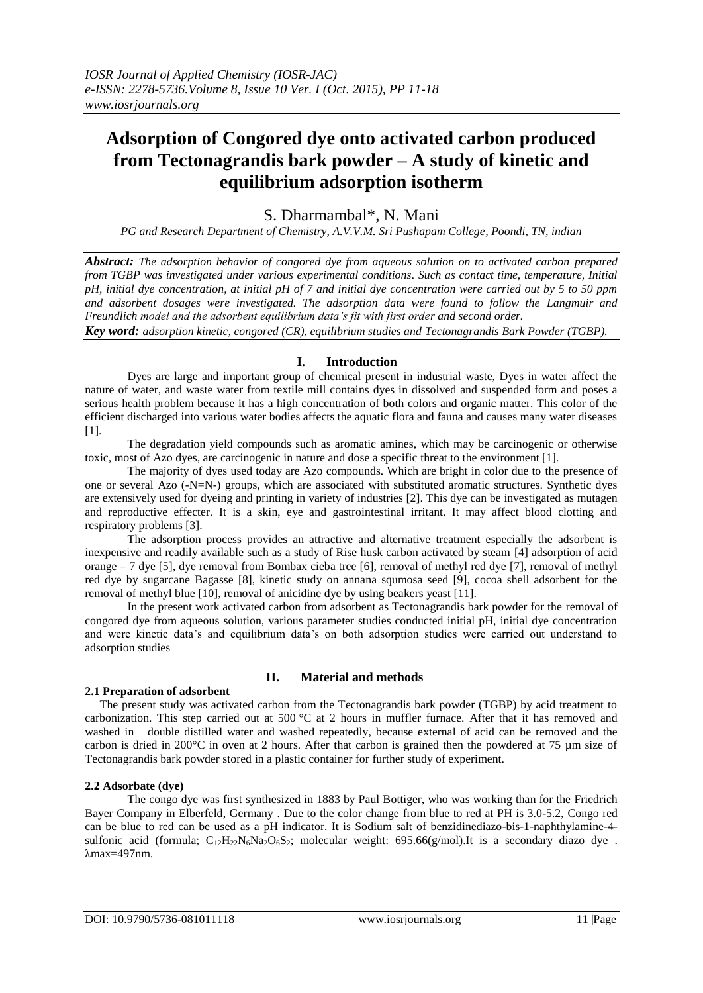# **Adsorption of Congored dye onto activated carbon produced from Tectonagrandis bark powder – A study of kinetic and equilibrium adsorption isotherm**

# S. Dharmambal\*, N. Mani

*PG and Research Department of Chemistry, A.V.V.M. Sri Pushapam College, Poondi, TN, indian* 

*Abstract: The adsorption behavior of congored dye from aqueous solution on to activated carbon prepared from TGBP was investigated under various experimental conditions. Such as contact time, temperature, Initial pH, initial dye concentration, at initial pH of 7 and initial dye concentration were carried out by 5 to 50 ppm and adsorbent dosages were investigated. The adsorption data were found to follow the Langmuir and Freundlich model and the adsorbent equilibrium data's fit with first order and second order.* 

*Key word: adsorption kinetic, congored (CR), equilibrium studies and Tectonagrandis Bark Powder (TGBP).*

# **I. Introduction**

Dyes are large and important group of chemical present in industrial waste, Dyes in water affect the nature of water, and waste water from textile mill contains dyes in dissolved and suspended form and poses a serious health problem because it has a high concentration of both colors and organic matter. This color of the efficient discharged into various water bodies affects the aquatic flora and fauna and causes many water diseases [1].

 The degradation yield compounds such as aromatic amines, which may be carcinogenic or otherwise toxic, most of Azo dyes, are carcinogenic in nature and dose a specific threat to the environment [1].

 The majority of dyes used today are Azo compounds. Which are bright in color due to the presence of one or several Azo (-N=N-) groups, which are associated with substituted aromatic structures. Synthetic dyes are extensively used for dyeing and printing in variety of industries [2]. This dye can be investigated as mutagen and reproductive effecter. It is a skin, eye and gastrointestinal irritant. It may affect blood clotting and respiratory problems [3].

 The adsorption process provides an attractive and alternative treatment especially the adsorbent is inexpensive and readily available such as a study of Rise husk carbon activated by steam [4] adsorption of acid orange – 7 dye [5], dye removal from Bombax cieba tree [6], removal of methyl red dye [7], removal of methyl red dye by sugarcane Bagasse [8], kinetic study on annana squmosa seed [9], cocoa shell adsorbent for the removal of methyl blue [10], removal of anicidine dye by using beakers yeast [11].

 In the present work activated carbon from adsorbent as Tectonagrandis bark powder for the removal of congored dye from aqueous solution, various parameter studies conducted initial pH, initial dye concentration and were kinetic data's and equilibrium data's on both adsorption studies were carried out understand to adsorption studies

#### **2.1 Preparation of adsorbent**

# **II. Material and methods**

 The present study was activated carbon from the Tectonagrandis bark powder (TGBP) by acid treatment to carbonization. This step carried out at 500  $^{\circ}$ C at 2 hours in muffler furnace. After that it has removed and washed in double distilled water and washed repeatedly, because external of acid can be removed and the carbon is dried in 200°C in oven at 2 hours. After that carbon is grained then the powdered at 75 µm size of Tectonagrandis bark powder stored in a plastic container for further study of experiment.

#### **2.2 Adsorbate (dye)**

 The congo dye was first synthesized in 1883 by Paul Bottiger, who was working than for the Friedrich Bayer Company in Elberfeld, Germany . Due to the color change from blue to red at PH is 3.0-5.2, Congo red can be blue to red can be used as a pH indicator. It is Sodium salt of benzidinediazo-bis-1-naphthylamine-4 sulfonic acid (formula;  $C_{12}H_{22}N_6N_4D_6S_2$ ; molecular weight: 695.66(g/mol).It is a secondary diazo dye. λmax=497nm.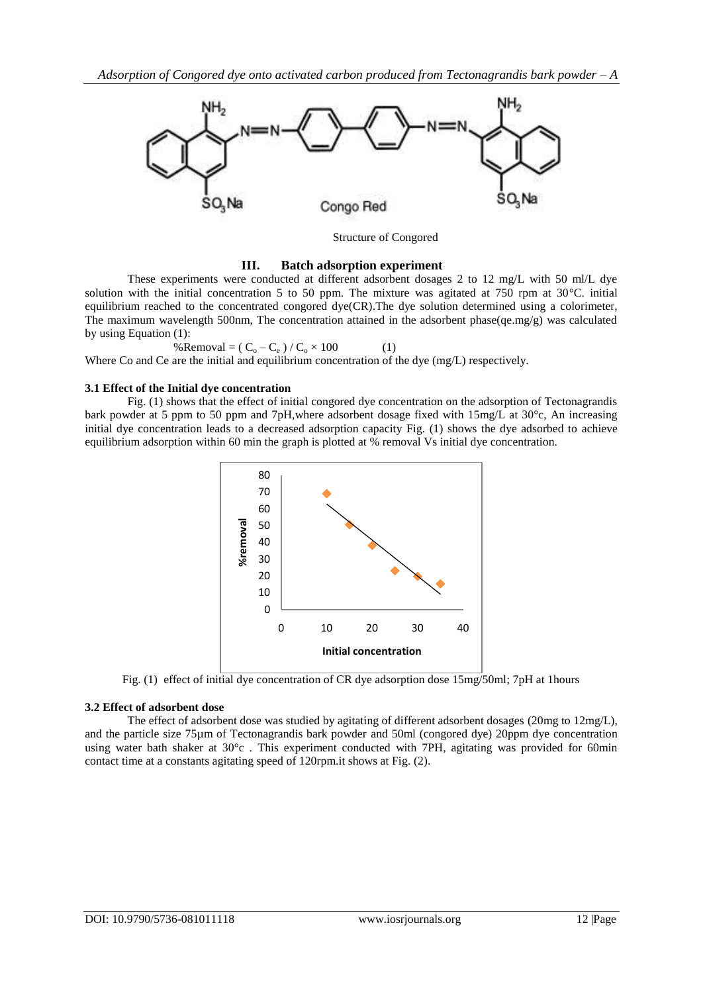

Structure of Congored

#### **III. Batch adsorption experiment**

 These experiments were conducted at different adsorbent dosages 2 to 12 mg/L with 50 ml/L dye solution with the initial concentration 5 to 50 ppm. The mixture was agitated at 750 rpm at 30°C. initial equilibrium reached to the concentrated congored dye(CR).The dye solution determined using a colorimeter, The maximum wavelength 500nm, The concentration attained in the adsorbent phase(qe.mg/g) was calculated by using Equation (1):

%Removal =  $(C_0 - C_e) / C_0 \times 100$  (1)

Where Co and Ce are the initial and equilibrium concentration of the dye (mg/L) respectively.

## **3.1 Effect of the Initial dye concentration**

 Fig. (1) shows that the effect of initial congored dye concentration on the adsorption of Tectonagrandis bark powder at 5 ppm to 50 ppm and 7pH,where adsorbent dosage fixed with 15mg/L at 30°c, An increasing initial dye concentration leads to a decreased adsorption capacity Fig. (1) shows the dye adsorbed to achieve equilibrium adsorption within 60 min the graph is plotted at % removal Vs initial dye concentration.



Fig. (1) effect of initial dye concentration of CR dye adsorption dose 15mg/50ml; 7pH at 1hours

# **3.2 Effect of adsorbent dose**

 The effect of adsorbent dose was studied by agitating of different adsorbent dosages (20mg to 12mg/L), and the particle size 75µm of Tectonagrandis bark powder and 50ml (congored dye) 20ppm dye concentration using water bath shaker at 30°c . This experiment conducted with 7PH, agitating was provided for 60min contact time at a constants agitating speed of 120rpm.it shows at Fig. (2).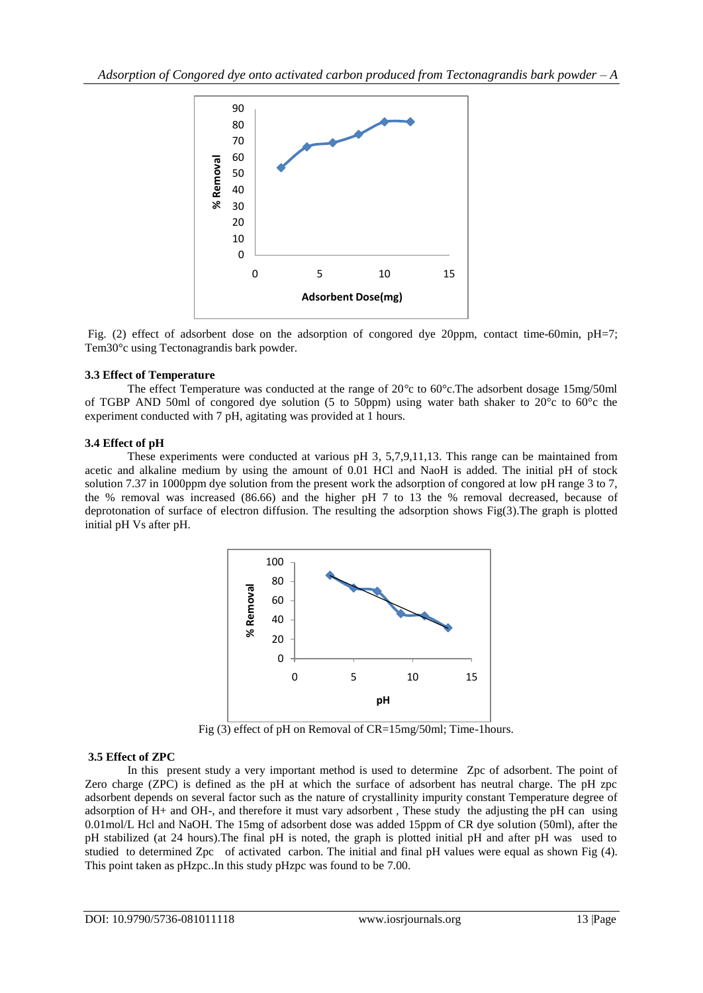

Fig. (2) effect of adsorbent dose on the adsorption of congored dye 20ppm, contact time-60min, pH=7; Tem30°c using Tectonagrandis bark powder.

## **3.3 Effect of Temperature**

 The effect Temperature was conducted at the range of 20*°*c to 60°c.The adsorbent dosage 15mg/50ml of TGBP AND 50ml of congored dye solution (5 to 50ppm) using water bath shaker to 20°c to 60°c the experiment conducted with 7 pH, agitating was provided at 1 hours.

## **3.4 Effect of pH**

 These experiments were conducted at various pH 3, 5,7,9,11,13. This range can be maintained from acetic and alkaline medium by using the amount of 0.01 HCl and NaoH is added. The initial pH of stock solution 7.37 in 1000ppm dye solution from the present work the adsorption of congored at low pH range 3 to 7, the % removal was increased (86.66) and the higher pH 7 to 13 the % removal decreased, because of deprotonation of surface of electron diffusion. The resulting the adsorption shows Fig(3).The graph is plotted initial pH Vs after pH.



Fig (3) effect of pH on Removal of CR=15mg/50ml; Time-1hours.

#### **3.5 Effect of ZPC**

 In this present study a very important method is used to determine Zpc of adsorbent. The point of Zero charge (ZPC) is defined as the pH at which the surface of adsorbent has neutral charge. The pH zpc adsorbent depends on several factor such as the nature of crystallinity impurity constant Temperature degree of adsorption of H+ and OH-, and therefore it must vary adsorbent , These study the adjusting the pH can using 0.01mol/L Hcl and NaOH. The 15mg of adsorbent dose was added 15ppm of CR dye solution (50ml), after the pH stabilized (at 24 hours).The final pH is noted, the graph is plotted initial pH and after pH was used to studied to determined Zpc of activated carbon. The initial and final pH values were equal as shown Fig (4). This point taken as pHzpc..In this study pHzpc was found to be 7.00.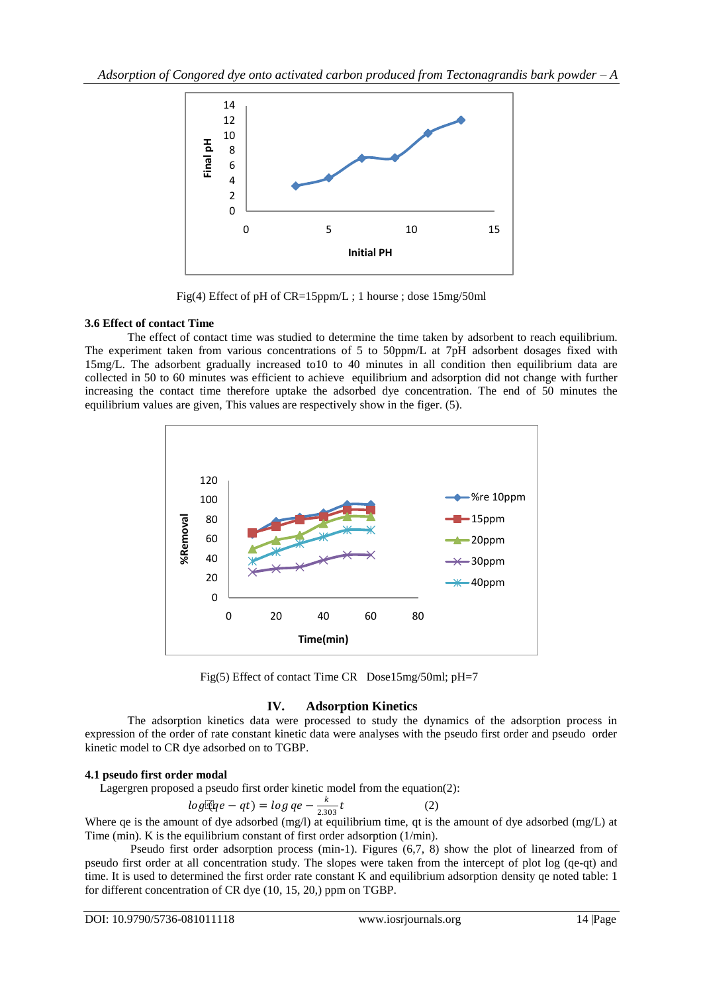

Fig(4) Effect of pH of CR=15ppm/L ; 1 hourse ; dose 15mg/50ml

# **3.6 Effect of contact Time**

 The effect of contact time was studied to determine the time taken by adsorbent to reach equilibrium. The experiment taken from various concentrations of 5 to 50ppm/L at 7pH adsorbent dosages fixed with 15mg/L. The adsorbent gradually increased to10 to 40 minutes in all condition then equilibrium data are collected in 50 to 60 minutes was efficient to achieve equilibrium and adsorption did not change with further increasing the contact time therefore uptake the adsorbed dye concentration. The end of 50 minutes the equilibrium values are given, This values are respectively show in the figer. (5).



Fig(5) Effect of contact Time CR Dose15mg/50ml; pH=7

# **IV. Adsorption Kinetics**

 The adsorption kinetics data were processed to study the dynamics of the adsorption process in expression of the order of rate constant kinetic data were analyses with the pseudo first order and pseudo order kinetic model to CR dye adsorbed on to TGBP.

# **4.1 pseudo first order modal**

Lagergren proposed a pseudo first order kinetic model from the equation(2):

$$
log\mathbb{E}(qe - qt) = log qe - \frac{k}{2.303}t\tag{2}
$$

Where qe is the amount of dye adsorbed (mg/l) at equilibrium time, qt is the amount of dye adsorbed (mg/L) at Time (min). K is the equilibrium constant of first order adsorption (1/min).

 Pseudo first order adsorption process (min-1). Figures (6,7, 8) show the plot of linearzed from of pseudo first order at all concentration study. The slopes were taken from the intercept of plot log (qe-qt) and time. It is used to determined the first order rate constant K and equilibrium adsorption density qe noted table: 1 for different concentration of CR dye (10, 15, 20,) ppm on TGBP.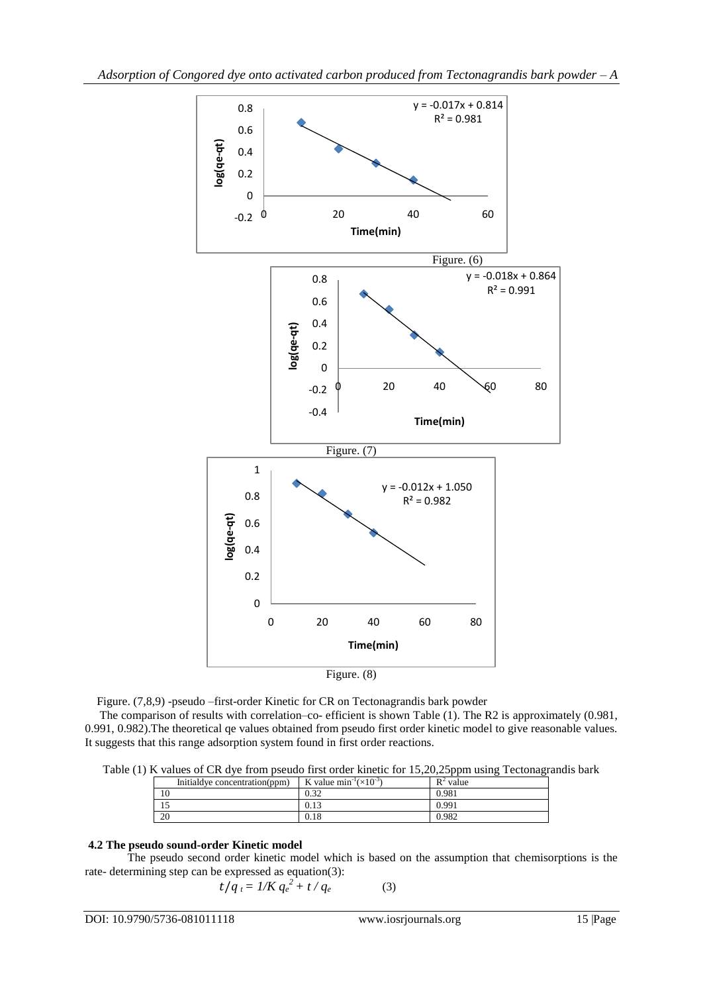

Figure. (7,8,9) -pseudo –first-order Kinetic for CR on Tectonagrandis bark powder

 The comparison of results with correlation–co- efficient is shown Table (1). The R2 is approximately (0.981, 0.991, 0.982).The theoretical qe values obtained from pseudo first order kinetic model to give reasonable values. It suggests that this range adsorption system found in first order reactions.

Table (1) K values of CR dye from pseudo first order kinetic for 15,20,25ppm using Tectonagrandis bark

| Initial dye concentration (ppm) | K value $min^{-1}(x10^{-3})$ | $R^2$ value |
|---------------------------------|------------------------------|-------------|
|                                 | ה ה                          | 0.981       |
|                                 | U. I J                       | 0.991       |
| 20                              | $_{0.18}$                    | 0.982       |

#### **4.2 The pseudo sound-order Kinetic model**

 The pseudo second order kinetic model which is based on the assumption that chemisorptions is the rate- determining step can be expressed as equation(3):

$$
t/q_t = 1/K q_e^2 + t/q_e \tag{3}
$$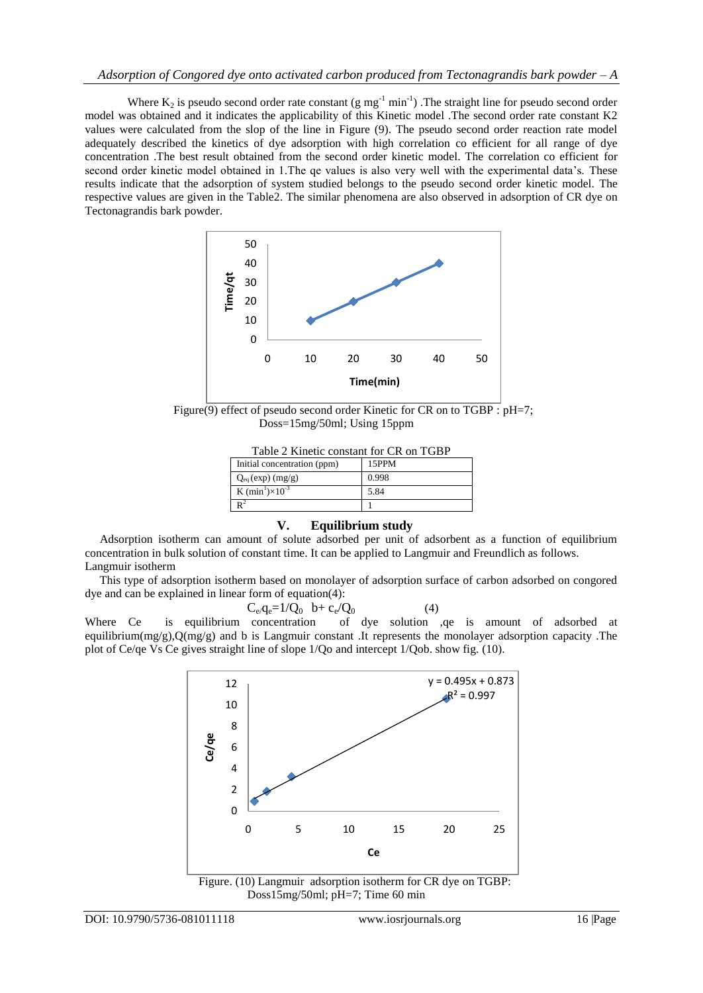Where  $K_2$  is pseudo second order rate constant (g mg<sup>-1</sup> min<sup>-1</sup>). The straight line for pseudo second order model was obtained and it indicates the applicability of this Kinetic model .The second order rate constant K2 values were calculated from the slop of the line in Figure (9). The pseudo second order reaction rate model adequately described the kinetics of dye adsorption with high correlation co efficient for all range of dye concentration .The best result obtained from the second order kinetic model. The correlation co efficient for second order kinetic model obtained in 1.The qe values is also very well with the experimental data's. These results indicate that the adsorption of system studied belongs to the pseudo second order kinetic model. The respective values are given in the Table2. The similar phenomena are also observed in adsorption of CR dye on Tectonagrandis bark powder.



Figure(9) effect of pseudo second order Kinetic for CR on to  $TGBP : pH=7$ ; Doss=15mg/50ml; Using 15ppm

| Table 2 Kinetic constant for CR on TGBP |  |  |
|-----------------------------------------|--|--|
|-----------------------------------------|--|--|

| Initial concentration (ppm) | 15PPM |  |
|-----------------------------|-------|--|
| $Q_{eq}(exp)$ (mg/g)        | 0.998 |  |
| K $(min^1)\times 10^{-3}$   | 5.84  |  |
|                             |       |  |

#### **V. Equilibrium study**

 Adsorption isotherm can amount of solute adsorbed per unit of adsorbent as a function of equilibrium concentration in bulk solution of constant time. It can be applied to Langmuir and Freundlich as follows. Langmuir isotherm

 This type of adsorption isotherm based on monolayer of adsorption surface of carbon adsorbed on congored dye and can be explained in linear form of equation(4):

$$
C_eq_e=1/Q_0 \quad b+c_e/Q_0 \tag{4}
$$

Where Ce is equilibrium concentration of dye solution ,qe is amount of adsorbed at equilibrium(mg/g), $Q(mg/g)$  and b is Langmuir constant .It represents the monolayer adsorption capacity .The plot of Ce/qe Vs Ce gives straight line of slope 1/Qo and intercept 1/Qob. show fig. (10).



Doss15mg/50ml; pH=7; Time 60 min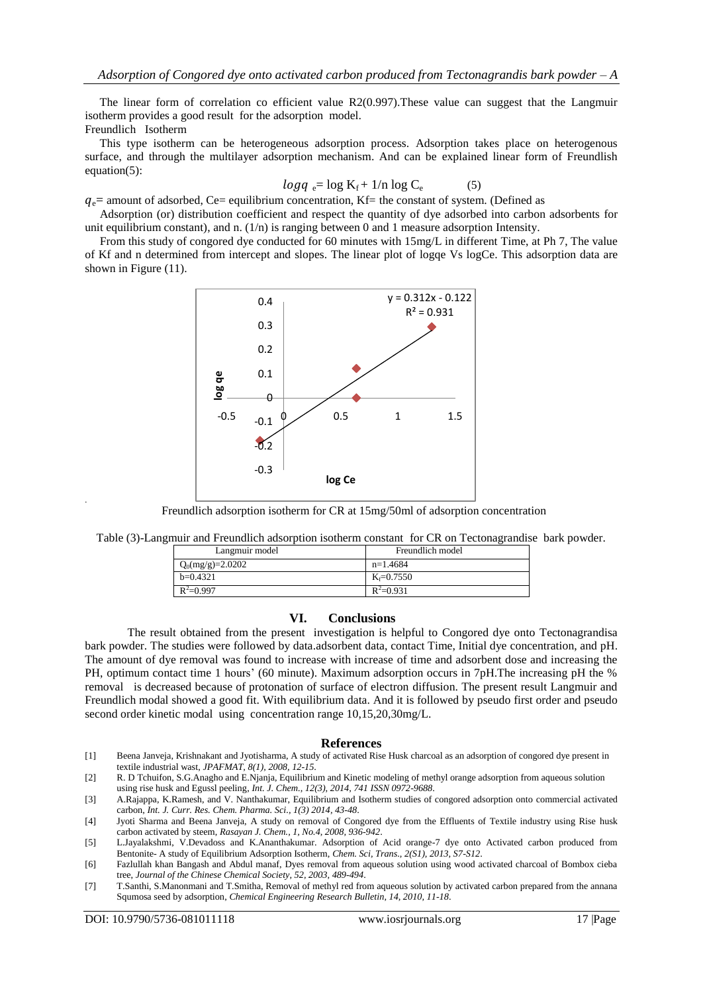The linear form of correlation co efficient value R2(0.997).These value can suggest that the Langmuir isotherm provides a good result for the adsorption model. Freundlich Isotherm

 This type isotherm can be heterogeneous adsorption process. Adsorption takes place on heterogenous surface, and through the multilayer adsorption mechanism. And can be explained linear form of Freundlish equation(5):

$$
log q_e = log K_f + 1/n log C_e \tag{5}
$$

 $q_e$  amount of adsorbed, Ce = equilibrium concentration, Kf = the constant of system. (Defined as Adsorption (or) distribution coefficient and respect the quantity of dye adsorbed into carbon adsorbents for

unit equilibrium constant), and n.  $(1/n)$  is ranging between 0 and 1 measure adsorption Intensity. From this study of congored dye conducted for 60 minutes with 15mg/L in different Time, at Ph 7, The value

of Kf and n determined from intercept and slopes. The linear plot of logqe Vs logCe. This adsorption data are shown in Figure (11).



Freundlich adsorption isotherm for CR at 15mg/50ml of adsorption concentration

| Langmuir model     | Freundlich model |
|--------------------|------------------|
| $Q_0(mg/g)=2.0202$ | $n=1.4684$       |
| $b=0.4321$         | $K_f = 0.7550$   |
| $R^2 = 0.997$      | $R^2=0.931$      |

#### **VI. Conclusions**

 The result obtained from the present investigation is helpful to Congored dye onto Tectonagrandisa bark powder. The studies were followed by data.adsorbent data, contact Time, Initial dye concentration, and pH. The amount of dye removal was found to increase with increase of time and adsorbent dose and increasing the PH, optimum contact time 1 hours' (60 minute). Maximum adsorption occurs in 7pH.The increasing pH the % removal is decreased because of protonation of surface of electron diffusion. The present result Langmuir and Freundlich modal showed a good fit. With equilibrium data. And it is followed by pseudo first order and pseudo second order kinetic modal using concentration range 10,15,20,30mg/L.

#### **References**

- [1] Beena Janveja, Krishnakant and Jyotisharma, A study of activated Rise Husk charcoal as an adsorption of congored dye present in textile industrial wast, *JPAFMAT, 8(1), 2008, 12-15*.
- [2] R. D Tchuifon, S.G.Anagho and E.Njanja, Equilibrium and Kinetic modeling of methyl orange adsorption from aqueous solution using rise husk and Egussl peeling, *Int. J. Chem., 12(3), 2014, 741 ISSN 0972-9688*.
- [3] A.Rajappa, K.Ramesh, and V. Nanthakumar, Equilibrium and Isotherm studies of congored adsorption onto commercial activated carbon, *Int. J. Curr. Res. Chem. Pharma. Sci., 1(3) 2014, 43-48*.

.

<sup>[4]</sup> Jyoti Sharma and Beena Janveja, A study on removal of Congored dye from the Effluents of Textile industry using Rise husk carbon activated by steem, *Rasayan J. Chem., 1, No.4, 2008, 936-942*.

<sup>[5]</sup> L.Jayalakshmi, V.Devadoss and K.Ananthakumar. Adsorption of Acid orange-7 dye onto Activated carbon produced from Bentonite- A study of Equilibrium Adsorption Isotherm, *Chem. Sci, Trans., 2(S1), 2013, S7-S12*.

<sup>[6]</sup> Fazlullah khan Bangash and Abdul manaf, Dyes removal from aqueous solution using wood activated charcoal of Bombox cieba tree, *Journal of the Chinese Chemical Society, 52, 2003, 489-494*.

<sup>[7]</sup> T.Santhi, S.Manonmani and T.Smitha, Removal of methyl red from aqueous solution by activated carbon prepared from the annana Squmosa seed by adsorption, *Chemical Engineering Research Bulletin, 14, 2010, 11-18*.